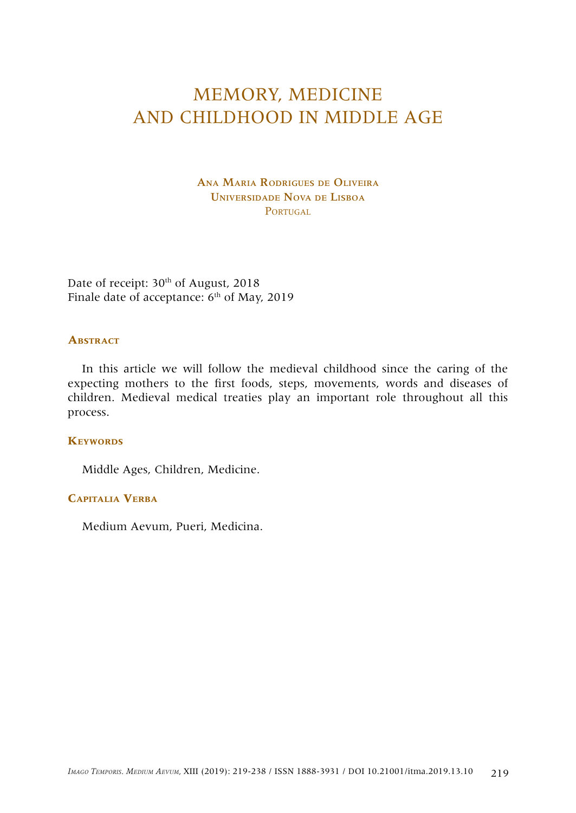# MEMORY, MEDICINE AND CHILDHOOD IN MIDDLE AGE

Ana Maria Rodrigues de Oliveira Universidade Nova de Lisboa PORTUGAL

Date of receipt: 30<sup>th</sup> of August, 2018 Finale date of acceptance:  $6<sup>th</sup>$  of May, 2019

#### **Abstract**

In this article we will follow the medieval childhood since the caring of the expecting mothers to the first foods, steps, movements, words and diseases of children. Medieval medical treaties play an important role throughout all this process.

## **Keywords**

Middle Ages, Children, Medicine.

## **Capitalia Verba**

Medium Aevum, Pueri, Medicina.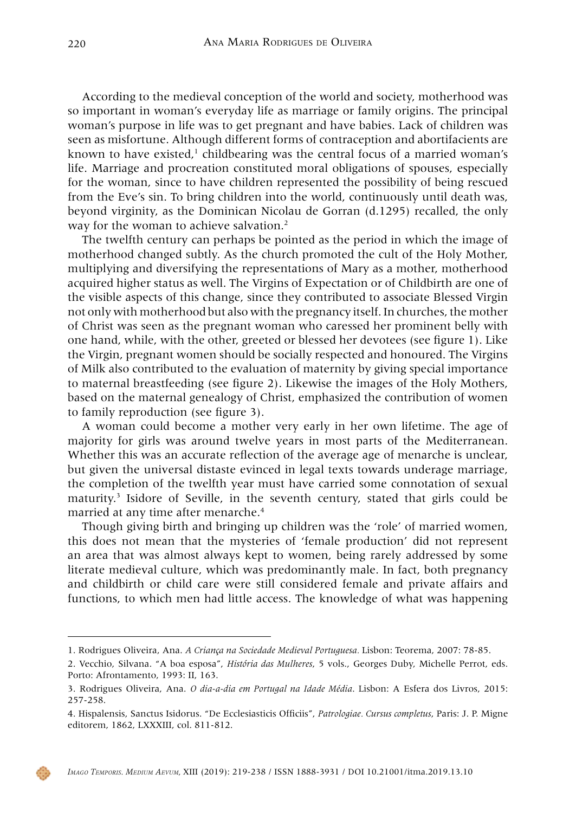According to the medieval conception of the world and society, motherhood was so important in woman's everyday life as marriage or family origins. The principal woman's purpose in life was to get pregnant and have babies. Lack of children was seen as misfortune. Although different forms of contraception and abortifacients are known to have existed, $^1$  childbearing was the central focus of a married woman's life. Marriage and procreation constituted moral obligations of spouses, especially for the woman, since to have children represented the possibility of being rescued from the Eve's sin. To bring children into the world, continuously until death was, beyond virginity, as the Dominican Nicolau de Gorran (d.1295) recalled, the only way for the woman to achieve salvation.<sup>2</sup>

The twelfth century can perhaps be pointed as the period in which the image of motherhood changed subtly. As the church promoted the cult of the Holy Mother, multiplying and diversifying the representations of Mary as a mother, motherhood acquired higher status as well. The Virgins of Expectation or of Childbirth are one of the visible aspects of this change, since they contributed to associate Blessed Virgin not only with motherhood but also with the pregnancy itself. In churches, the mother of Christ was seen as the pregnant woman who caressed her prominent belly with one hand, while, with the other, greeted or blessed her devotees (see figure 1). Like the Virgin, pregnant women should be socially respected and honoured. The Virgins of Milk also contributed to the evaluation of maternity by giving special importance to maternal breastfeeding (see figure 2). Likewise the images of the Holy Mothers, based on the maternal genealogy of Christ, emphasized the contribution of women to family reproduction (see figure 3).

A woman could become a mother very early in her own lifetime. The age of majority for girls was around twelve years in most parts of the Mediterranean. Whether this was an accurate reflection of the average age of menarche is unclear, but given the universal distaste evinced in legal texts towards underage marriage, the completion of the twelfth year must have carried some connotation of sexual maturity.<sup>3</sup> Isidore of Seville, in the seventh century, stated that girls could be married at any time after menarche.<sup>4</sup>

Though giving birth and bringing up children was the 'role' of married women, this does not mean that the mysteries of 'female production' did not represent an area that was almost always kept to women, being rarely addressed by some literate medieval culture, which was predominantly male. In fact, both pregnancy and childbirth or child care were still considered female and private affairs and functions, to which men had little access. The knowledge of what was happening



<sup>1.</sup> Rodrigues Oliveira, Ana. *A Criança na Sociedade Medieval Portuguesa.* Lisbon: Teorema, 2007: 78-85.

<sup>2.</sup> Vecchio, Silvana. "A boa esposa", *História das Mulheres*, 5 vols., Georges Duby, Michelle Perrot, eds. Porto: Afrontamento, 1993: II, 163.

<sup>3.</sup> Rodrigues Oliveira, Ana. *O dia-a-dia em Portugal na Idade Média*. Lisbon: A Esfera dos Livros, 2015: 257-258.

<sup>4.</sup> Hispalensis, Sanctus Isidorus. "De Ecclesiasticis Officiis", *Patrologiae. Cursus completus*, Paris: J. P. Migne editorem, 1862, LXXXIII, col. 811-812.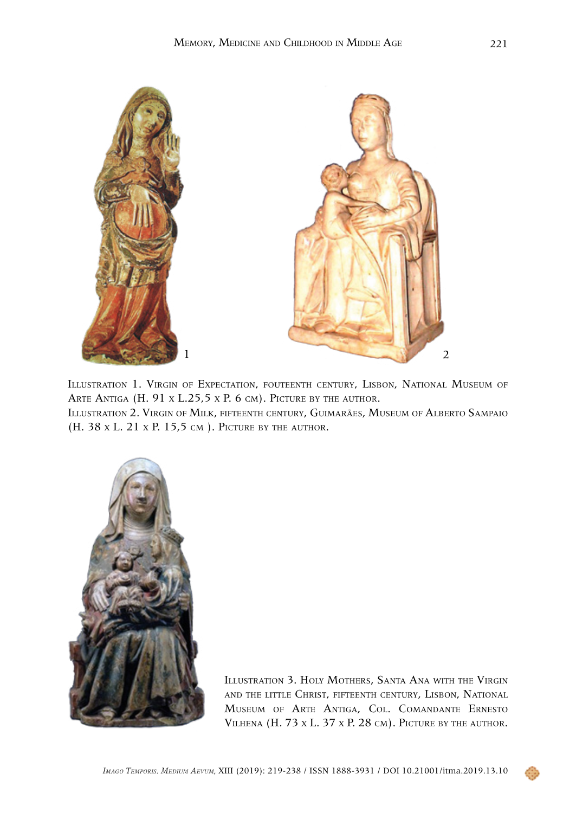

Illustration 1. Virgin of Expectation, fouteenth century, Lisbon, National Museum of ARTE ANTIGA (H. 91 x L.25,5 x P. 6 cm). PICTURE BY THE AUTHOR.

Illustration 2. Virgin of Milk, fifteenth century, Guimarães, Museum of Alberto Sampaio (H. 38 x L. 21 x P. 15,5 cm ). Picture by the author.



Illustration 3. Holy Mothers, Santa Ana with the Virgin and the little Christ, fifteenth century, Lisbon, National Museum of Arte Antiga, Col. Comandante Ernesto Vilhena (H. 73 x L. 37 x P. 28 cm). Picture by the author.

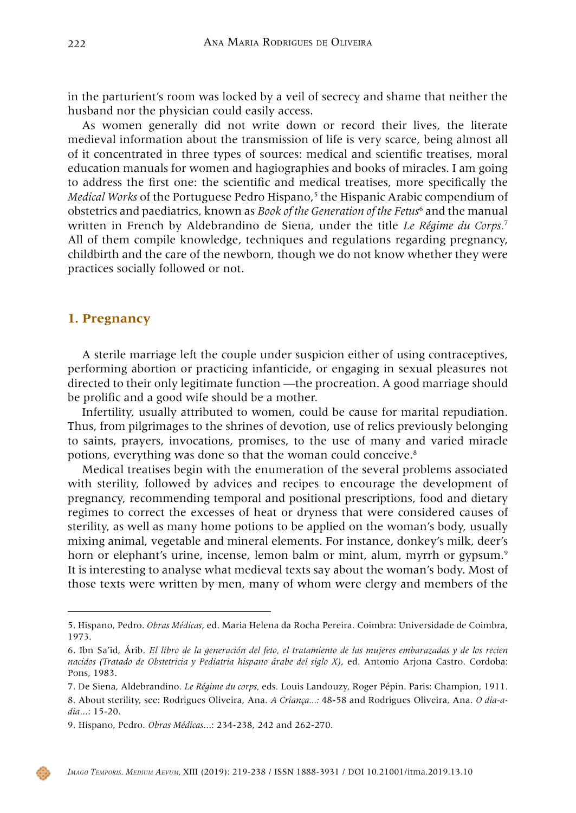in the parturient's room was locked by a veil of secrecy and shame that neither the husband nor the physician could easily access.

As women generally did not write down or record their lives, the literate medieval information about the transmission of life is very scarce, being almost all of it concentrated in three types of sources: medical and scientific treatises, moral education manuals for women and hagiographies and books of miracles. I am going to address the first one: the scientific and medical treatises, more specifically the *Medical Works* of the Portuguese Pedro Hispano,<sup>5</sup> the Hispanic Arabic compendium of obstetrics and paediatrics, known as *Book of the Generation of the Fetus*<sup>6</sup> and the manual written in French by Aldebrandino de Siena, under the title *Le Régime du Corps.*<sup>7</sup> All of them compile knowledge, techniques and regulations regarding pregnancy, childbirth and the care of the newborn, though we do not know whether they were practices socially followed or not.

#### **1. Pregnancy**

A sterile marriage left the couple under suspicion either of using contraceptives, performing abortion or practicing infanticide, or engaging in sexual pleasures not directed to their only legitimate function —the procreation. A good marriage should be prolific and a good wife should be a mother.

Infertility, usually attributed to women, could be cause for marital repudiation. Thus, from pilgrimages to the shrines of devotion, use of relics previously belonging to saints, prayers, invocations, promises, to the use of many and varied miracle potions, everything was done so that the woman could conceive.8

Medical treatises begin with the enumeration of the several problems associated with sterility, followed by advices and recipes to encourage the development of pregnancy, recommending temporal and positional prescriptions, food and dietary regimes to correct the excesses of heat or dryness that were considered causes of sterility, as well as many home potions to be applied on the woman's body, usually mixing animal, vegetable and mineral elements. For instance, donkey's milk, deer's horn or elephant's urine, incense, lemon balm or mint, alum, myrrh or gypsum.<sup>9</sup> It is interesting to analyse what medieval texts say about the woman's body. Most of those texts were written by men, many of whom were clergy and members of the

<sup>5.</sup> Hispano, Pedro. *Obras Médicas*, ed. Maria Helena da Rocha Pereira. Coimbra: Universidade de Coimbra, 1973.

<sup>6.</sup> Ibn Sa'id, Árib. *El libro de la generación del feto, el tratamiento de las mujeres embarazadas y de los recien nacidos (Tratado de Obstetricia y Pediatria hispano árabe del siglo X)*, ed. Antonio Arjona Castro. Cordoba: Pons, 1983.

<sup>7.</sup> De Siena, Aldebrandino. *Le Régime du corps,* eds. Louis Landouzy, Roger Pépin. Paris: Champion, 1911. 8. About sterility, see: Rodrigues Oliveira, Ana. *A Criança...:* 48-58 and Rodrigues Oliveira, Ana. *O dia-adia*...: 15-20.

<sup>9.</sup> Hispano, Pedro. *Obras Médicas*...: 234-238, 242 and 262-270.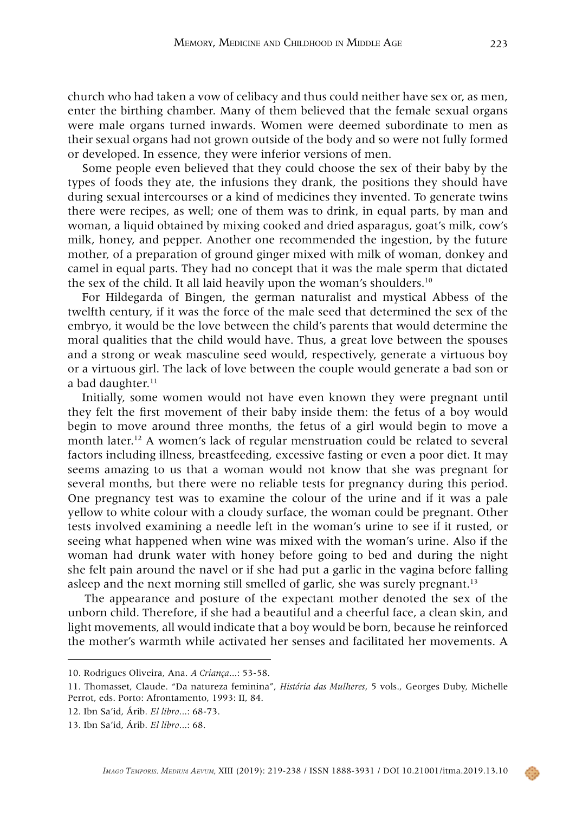church who had taken a vow of celibacy and thus could neither have sex or, as men, enter the birthing chamber. Many of them believed that the female sexual organs were male organs turned inwards. Women were deemed subordinate to men as their sexual organs had not grown outside of the body and so were not fully formed or developed. In essence, they were inferior versions of men.

Some people even believed that they could choose the sex of their baby by the types of foods they ate, the infusions they drank, the positions they should have during sexual intercourses or a kind of medicines they invented. To generate twins there were recipes, as well; one of them was to drink, in equal parts, by man and woman, a liquid obtained by mixing cooked and dried asparagus, goat's milk, cow's milk, honey, and pepper. Another one recommended the ingestion, by the future mother, of a preparation of ground ginger mixed with milk of woman, donkey and camel in equal parts. They had no concept that it was the male sperm that dictated the sex of the child. It all laid heavily upon the woman's shoulders.<sup>10</sup>

For Hildegarda of Bingen, the german naturalist and mystical Abbess of the twelfth century, if it was the force of the male seed that determined the sex of the embryo, it would be the love between the child's parents that would determine the moral qualities that the child would have. Thus, a great love between the spouses and a strong or weak masculine seed would, respectively, generate a virtuous boy or a virtuous girl. The lack of love between the couple would generate a bad son or a bad daughter.<sup>11</sup>

Initially, some women would not have even known they were pregnant until they felt the first movement of their baby inside them: the fetus of a boy would begin to move around three months, the fetus of a girl would begin to move a month later.12 A women's lack of regular menstruation could be related to several factors including illness, breastfeeding, excessive fasting or even a poor diet. It may seems amazing to us that a woman would not know that she was pregnant for several months, but there were no reliable tests for pregnancy during this period. One pregnancy test was to examine the colour of the urine and if it was a pale yellow to white colour with a cloudy surface, the woman could be pregnant. Other tests involved examining a needle left in the woman's urine to see if it rusted, or seeing what happened when wine was mixed with the woman's urine. Also if the woman had drunk water with honey before going to bed and during the night she felt pain around the navel or if she had put a garlic in the vagina before falling asleep and the next morning still smelled of garlic, she was surely pregnant.<sup>13</sup>

The appearance and posture of the expectant mother denoted the sex of the unborn child. Therefore, if she had a beautiful and a cheerful face, a clean skin, and light movements, all would indicate that a boy would be born, because he reinforced the mother's warmth while activated her senses and facilitated her movements. A

<sup>10.</sup> Rodrigues Oliveira, Ana. *A Criança*...: 53-58.

<sup>11.</sup> Thomasset, Claude. "Da natureza feminina", *História das Mulheres*, 5 vols., Georges Duby, Michelle Perrot, eds. Porto: Afrontamento, 1993: II, 84.

<sup>12.</sup> Ibn Sa'id, Árib. *El libro*...: 68-73.

<sup>13.</sup> Ibn Sa'id, Árib. *El libro*...: 68.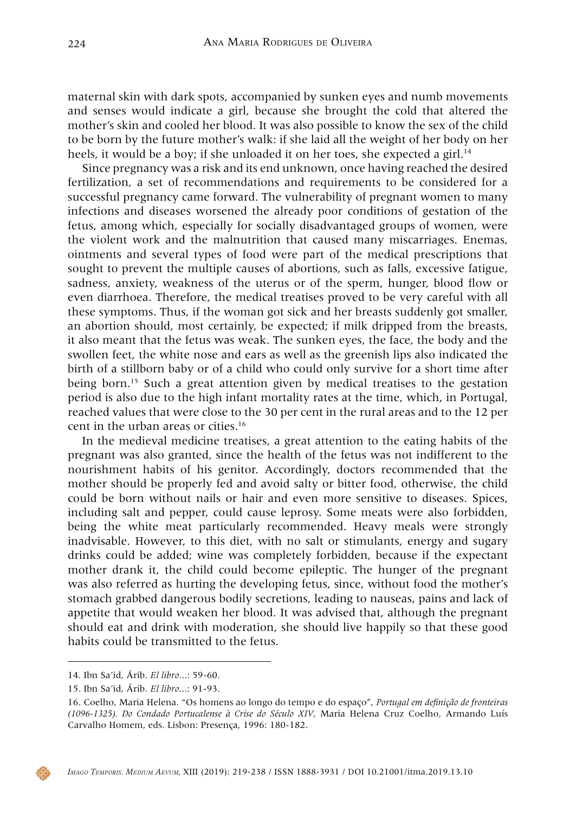maternal skin with dark spots, accompanied by sunken eyes and numb movements and senses would indicate a girl, because she brought the cold that altered the mother's skin and cooled her blood. It was also possible to know the sex of the child to be born by the future mother's walk: if she laid all the weight of her body on her heels, it would be a boy; if she unloaded it on her toes, she expected a girl.<sup>14</sup>

Since pregnancy was a risk and its end unknown, once having reached the desired fertilization, a set of recommendations and requirements to be considered for a successful pregnancy came forward. The vulnerability of pregnant women to many infections and diseases worsened the already poor conditions of gestation of the fetus, among which, especially for socially disadvantaged groups of women, were the violent work and the malnutrition that caused many miscarriages. Enemas, ointments and several types of food were part of the medical prescriptions that sought to prevent the multiple causes of abortions, such as falls, excessive fatigue, sadness, anxiety, weakness of the uterus or of the sperm, hunger, blood flow or even diarrhoea. Therefore, the medical treatises proved to be very careful with all these symptoms. Thus, if the woman got sick and her breasts suddenly got smaller, an abortion should, most certainly, be expected; if milk dripped from the breasts, it also meant that the fetus was weak. The sunken eyes, the face, the body and the swollen feet, the white nose and ears as well as the greenish lips also indicated the birth of a stillborn baby or of a child who could only survive for a short time after being born.<sup>15</sup> Such a great attention given by medical treatises to the gestation period is also due to the high infant mortality rates at the time, which, in Portugal, reached values that were close to the 30 per cent in the rural areas and to the 12 per cent in the urban areas or cities.16

In the medieval medicine treatises, a great attention to the eating habits of the pregnant was also granted, since the health of the fetus was not indifferent to the nourishment habits of his genitor. Accordingly, doctors recommended that the mother should be properly fed and avoid salty or bitter food, otherwise, the child could be born without nails or hair and even more sensitive to diseases. Spices, including salt and pepper, could cause leprosy. Some meats were also forbidden, being the white meat particularly recommended. Heavy meals were strongly inadvisable. However, to this diet, with no salt or stimulants, energy and sugary drinks could be added; wine was completely forbidden, because if the expectant mother drank it, the child could become epileptic. The hunger of the pregnant was also referred as hurting the developing fetus, since, without food the mother's stomach grabbed dangerous bodily secretions, leading to nauseas, pains and lack of appetite that would weaken her blood. It was advised that, although the pregnant should eat and drink with moderation, she should live happily so that these good habits could be transmitted to the fetus.



<sup>14.</sup> Ibn Sa'id, Árib. *El libro*...: 59-60.

<sup>15.</sup> Ibn Sa'id, Árib. *El libro*...: 91-93.

<sup>16.</sup> Coelho, Maria Helena. "Os homens ao longo do tempo e do espaço", *Portugal em definição de fronteiras (1096-1325). Do Condado Portucalense à Crise do Século XIV*, Maria Helena Cruz Coelho, Armando Luís Carvalho Homem, eds. Lisbon: Presença, 1996: 180-182.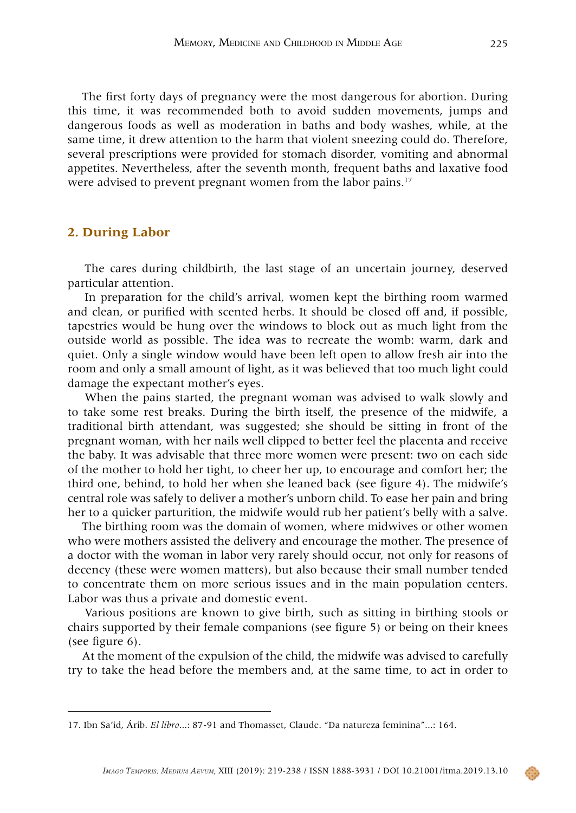The first forty days of pregnancy were the most dangerous for abortion. During this time, it was recommended both to avoid sudden movements, jumps and dangerous foods as well as moderation in baths and body washes, while, at the same time, it drew attention to the harm that violent sneezing could do. Therefore, several prescriptions were provided for stomach disorder, vomiting and abnormal appetites. Nevertheless, after the seventh month, frequent baths and laxative food were advised to prevent pregnant women from the labor pains.<sup>17</sup>

## **2. During Labor**

The cares during childbirth, the last stage of an uncertain journey, deserved particular attention.

In preparation for the child's arrival, women kept the birthing room warmed and clean, or purified with scented herbs. It should be closed off and, if possible, tapestries would be hung over the windows to block out as much light from the outside world as possible. The idea was to recreate the womb: warm, dark and quiet. Only a single window would have been left open to allow fresh air into the room and only a small amount of light, as it was believed that too much light could damage the expectant mother's eyes.

When the pains started, the pregnant woman was advised to walk slowly and to take some rest breaks. During the birth itself, the presence of the midwife, a traditional birth attendant, was suggested; she should be sitting in front of the pregnant woman, with her nails well clipped to better feel the placenta and receive the baby. It was advisable that three more women were present: two on each side of the mother to hold her tight, to cheer her up, to encourage and comfort her; the third one, behind, to hold her when she leaned back (see figure 4). The midwife's central role was safely to deliver a mother's unborn child. To ease her pain and bring her to a quicker parturition, the midwife would rub her patient's belly with a salve.

The birthing room was the domain of women, where midwives or other women who were mothers assisted the delivery and encourage the mother. The presence of a doctor with the woman in labor very rarely should occur, not only for reasons of decency (these were women matters), but also because their small number tended to concentrate them on more serious issues and in the main population centers. Labor was thus a private and domestic event.

Various positions are known to give birth, such as sitting in birthing stools or chairs supported by their female companions (see figure 5) or being on their knees (see figure 6).

At the moment of the expulsion of the child, the midwife was advised to carefully try to take the head before the members and, at the same time, to act in order to

<sup>17.</sup> Ibn Sa'id, Árib. *El libro*...: 87-91 and Thomasset, Claude. "Da natureza feminina"...: 164.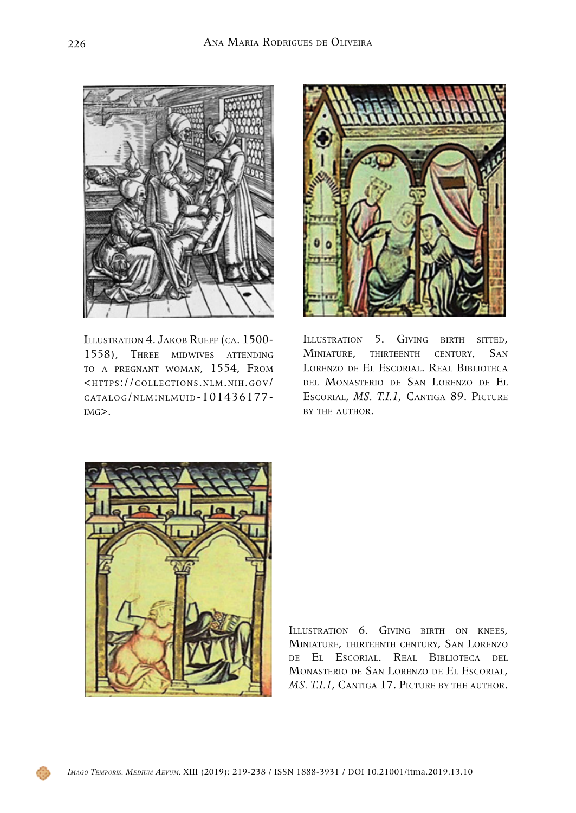

Illustration 4. Jakob Rueff (ca. 1500- 1558), Three midwives attending to <sup>a</sup> pregnant woman, 1554, From <[https://collections.nlm.nih.gov/](https://collections.nlm.nih.gov/catalog/nlm:nlmuid-101436177-img) [catalog/nlm:nlmuid-101436177](https://collections.nlm.nih.gov/catalog/nlm:nlmuid-101436177-img) [img](https://collections.nlm.nih.gov/catalog/nlm:nlmuid-101436177-img)>.



ILLUSTRATION 5. GIVING BIRTH SITTED, Miniature, thirteenth century, San Lorenzo de El Escorial. Real Biblioteca del Monasterio de San Lorenzo de El Escorial, *MS. T.I.1*, Cantiga 89. Picture by the author.



ILLUSTRATION 6. GIVING BIRTH ON KNEES. Miniature, thirteenth century, San Lorenzo de El Escorial. Real Biblioteca del Monasterio de San Lorenzo de El Escorial, *MS. T.I.1*, CANTIGA 17. PICTURE BY THE AUTHOR.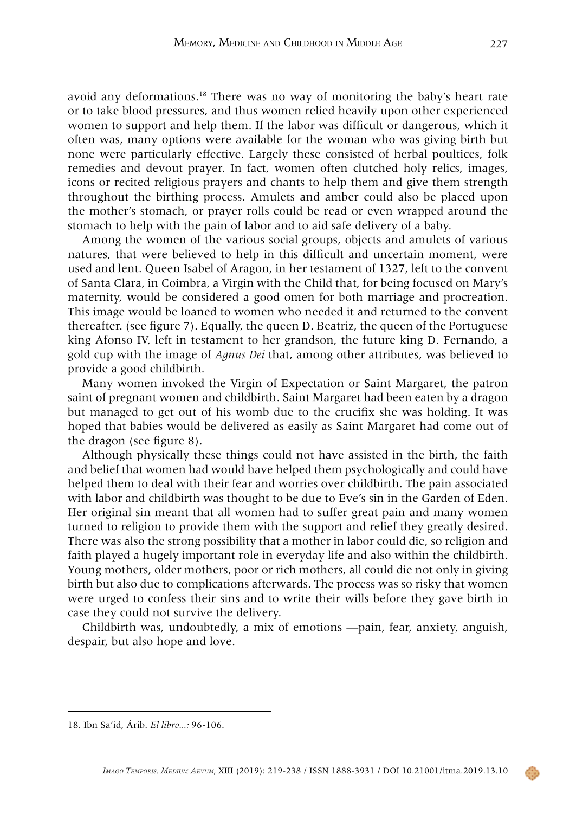avoid any deformations.18 There was no way of monitoring the baby's heart rate or to take blood pressures, and thus women relied heavily upon other experienced women to support and help them. If the labor was difficult or dangerous, which it often was, many options were available for the woman who was giving birth but none were particularly effective. Largely these consisted of herbal poultices, folk remedies and devout prayer. In fact, women often clutched holy relics, images, icons or recited religious prayers and chants to help them and give them strength throughout the birthing process. Amulets and amber could also be placed upon the mother's stomach, or prayer rolls could be read or even wrapped around the stomach to help with the pain of labor and to aid safe delivery of a baby.

Among the women of the various social groups, objects and amulets of various natures, that were believed to help in this difficult and uncertain moment, were used and lent. Queen Isabel of Aragon, in her testament of 1327, left to the convent of Santa Clara, in Coimbra, a Virgin with the Child that, for being focused on Mary's maternity, would be considered a good omen for both marriage and procreation. This image would be loaned to women who needed it and returned to the convent thereafter. (see figure 7). Equally, the queen D. Beatriz, the queen of the Portuguese king Afonso IV, left in testament to her grandson, the future king D. Fernando, a gold cup with the image of *Agnus Dei* that, among other attributes, was believed to provide a good childbirth.

Many women invoked the Virgin of Expectation or Saint Margaret, the patron saint of pregnant women and childbirth. Saint Margaret had been eaten by a dragon but managed to get out of his womb due to the crucifix she was holding. It was hoped that babies would be delivered as easily as Saint Margaret had come out of the dragon (see figure 8).

Although physically these things could not have assisted in the birth, the faith and belief that women had would have helped them psychologically and could have helped them to deal with their fear and worries over childbirth. The pain associated with labor and childbirth was thought to be due to Eve's sin in the Garden of Eden. Her original sin meant that all women had to suffer great pain and many women turned to religion to provide them with the support and relief they greatly desired. There was also the strong possibility that a mother in labor could die, so religion and faith played a hugely important role in everyday life and also within the childbirth. Young mothers, older mothers, poor or rich mothers, all could die not only in giving birth but also due to complications afterwards. The process was so risky that women were urged to confess their sins and to write their wills before they gave birth in case they could not survive the delivery.

Childbirth was, undoubtedly, a mix of emotions —pain, fear, anxiety, anguish, despair, but also hope and love.

<sup>18.</sup> Ibn Sa'id, Árib. *El libro...:* 96-106.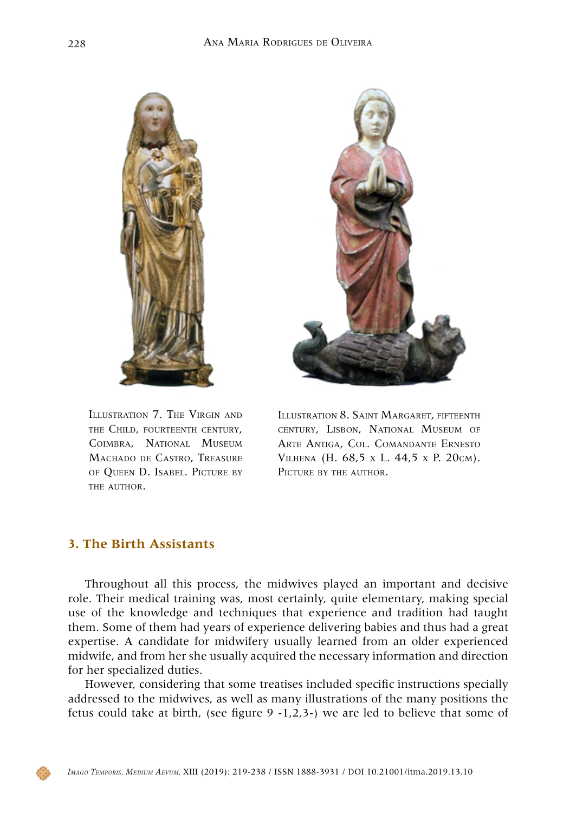



Illustration 7. The Virgin and the Child, fourteenth century, Coimbra, National Museum Machado de Castro, Treasure of Queen D. Isabel. Picture by THE AUTHOR.

Illustration 8. Saint Margaret, fifteenth century, Lisbon, National Museum of Arte Antiga, Col. Comandante Ernesto Vilhena (H. 68,5 x L. 44,5 x P. 20cm). PICTURE BY THE AUTHOR.

# **3. The Birth Assistants**

Throughout all this process, the midwives played an important and decisive role. Their medical training was, most certainly, quite elementary, making special use of the knowledge and techniques that experience and tradition had taught them. Some of them had years of experience delivering babies and thus had a great expertise. A candidate for midwifery usually learned from an older experienced midwife, and from her she usually acquired the necessary information and direction for her specialized duties.

However, considering that some treatises included specific instructions specially addressed to the midwives, as well as many illustrations of the many positions the fetus could take at birth, (see figure  $9 -1,2,3-$ ) we are led to believe that some of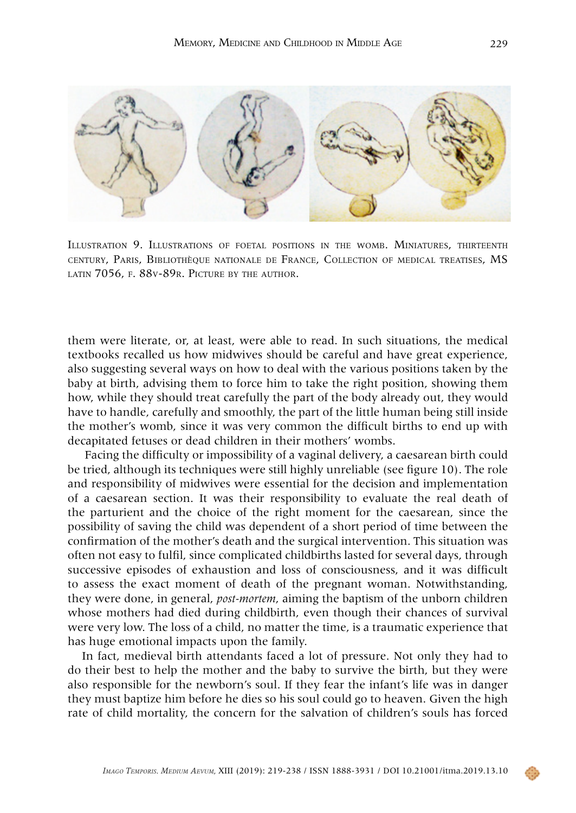

Illustration 9. Illustrations of foetal positions in the womb. Miniatures, thirteenth century, Paris, Bibliothèque nationale de France, Collection of medical treatises, MS LATIN 7056, F. 88V-89R. PICTURE BY THE AUTHOR.

them were literate, or, at least, were able to read. In such situations, the medical textbooks recalled us how midwives should be careful and have great experience, also suggesting several ways on how to deal with the various positions taken by the baby at birth, advising them to force him to take the right position, showing them how, while they should treat carefully the part of the body already out, they would have to handle, carefully and smoothly, the part of the little human being still inside the mother's womb, since it was very common the difficult births to end up with decapitated fetuses or dead children in their mothers' wombs.

Facing the difficulty or impossibility of a vaginal delivery, a caesarean birth could be tried, although its techniques were still highly unreliable (see figure 10). The role and responsibility of midwives were essential for the decision and implementation of a caesarean section. It was their responsibility to evaluate the real death of the parturient and the choice of the right moment for the caesarean, since the possibility of saving the child was dependent of a short period of time between the confirmation of the mother's death and the surgical intervention. This situation was often not easy to fulfil, since complicated childbirths lasted for several days, through successive episodes of exhaustion and loss of consciousness, and it was difficult to assess the exact moment of death of the pregnant woman. Notwithstanding, they were done, in general, *post-mortem*, aiming the baptism of the unborn children whose mothers had died during childbirth, even though their chances of survival were very low. The loss of a child, no matter the time, is a traumatic experience that has huge emotional impacts upon the family.

In fact, medieval birth attendants faced a lot of pressure. Not only they had to do their best to help the mother and the baby to survive the birth, but they were also responsible for the newborn's soul. If they fear the infant's life was in danger they must baptize him before he dies so his soul could go to heaven. Given the high rate of child mortality, the concern for the salvation of children's souls has forced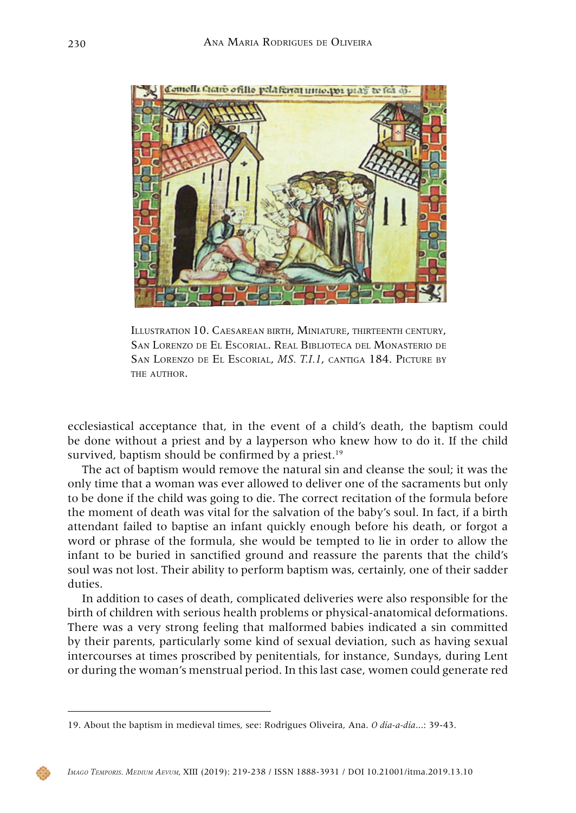

Illustration 10. Caesarean birth, Miniature, thirteenth century, San Lorenzo de El Escorial. Real Biblioteca del Monasterio de San Lorenzo de El Escorial, *MS. T.I.1*, cantiga 184. Picture by THE AUTHOR.

ecclesiastical acceptance that, in the event of a child's death, the baptism could be done without a priest and by a layperson who knew how to do it. If the child survived, baptism should be confirmed by a priest.<sup>19</sup>

The act of baptism would remove the natural sin and cleanse the soul; it was the only time that a woman was ever allowed to deliver one of the sacraments but only to be done if the child was going to die. The correct recitation of the formula before the moment of death was vital for the salvation of the baby's soul. In fact, if a birth attendant failed to baptise an infant quickly enough before his death, or forgot a word or phrase of the formula, she would be tempted to lie in order to allow the infant to be buried in sanctified ground and reassure the parents that the child's soul was not lost. Their ability to perform baptism was, certainly, one of their sadder duties.

In addition to cases of death, complicated deliveries were also responsible for the birth of children with serious health problems or physical-anatomical deformations. There was a very strong feeling that malformed babies indicated a sin committed by their parents, particularly some kind of sexual deviation, such as having sexual intercourses at times proscribed by penitentials, for instance, Sundays, during Lent or during the woman's menstrual period. In this last case, women could generate red

<sup>19.</sup> About the baptism in medieval times, see: Rodrigues Oliveira, Ana. *O dia-a-dia*...: 39-43.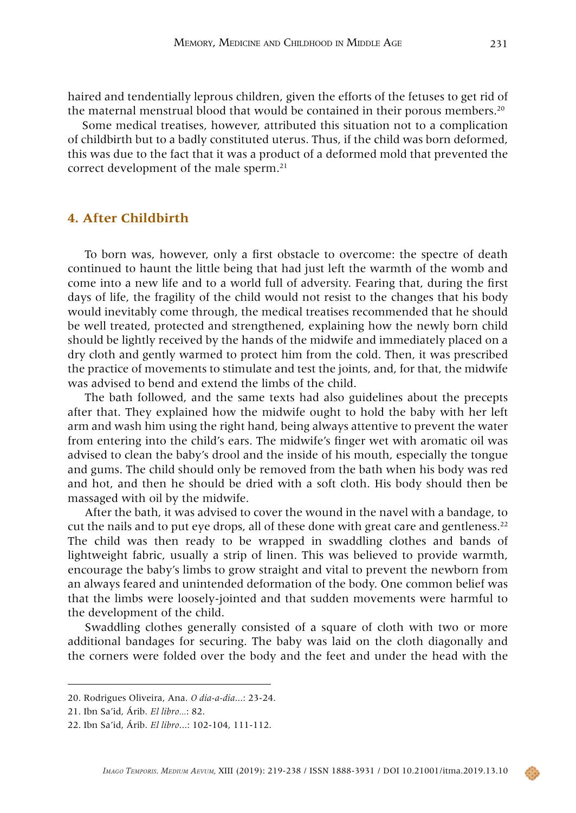haired and tendentially leprous children, given the efforts of the fetuses to get rid of the maternal menstrual blood that would be contained in their porous members.<sup>20</sup>

Some medical treatises, however, attributed this situation not to a complication of childbirth but to a badly constituted uterus. Thus, if the child was born deformed, this was due to the fact that it was a product of a deformed mold that prevented the correct development of the male sperm.<sup>21</sup>

# **4. After Childbirth**

To born was, however, only a first obstacle to overcome: the spectre of death continued to haunt the little being that had just left the warmth of the womb and come into a new life and to a world full of adversity. Fearing that, during the first days of life, the fragility of the child would not resist to the changes that his body would inevitably come through, the medical treatises recommended that he should be well treated, protected and strengthened, explaining how the newly born child should be lightly received by the hands of the midwife and immediately placed on a dry cloth and gently warmed to protect him from the cold. Then, it was prescribed the practice of movements to stimulate and test the joints, and, for that, the midwife was advised to bend and extend the limbs of the child.

The bath followed, and the same texts had also guidelines about the precepts after that. They explained how the midwife ought to hold the baby with her left arm and wash him using the right hand, being always attentive to prevent the water from entering into the child's ears. The midwife's finger wet with aromatic oil was advised to clean the baby's drool and the inside of his mouth, especially the tongue and gums. The child should only be removed from the bath when his body was red and hot, and then he should be dried with a soft cloth. His body should then be massaged with oil by the midwife.

After the bath, it was advised to cover the wound in the navel with a bandage, to cut the nails and to put eye drops, all of these done with great care and gentleness.<sup>22</sup> The child was then ready to be wrapped in swaddling clothes and bands of lightweight fabric, usually a strip of linen. This was believed to provide warmth, encourage the baby's limbs to grow straight and vital to prevent the newborn from an always feared and unintended deformation of the body. One common belief was that the limbs were loosely-jointed and that sudden movements were harmful to the development of the child.

Swaddling clothes generally consisted of a square of cloth with two or more additional bandages for securing. The baby was laid on the cloth diagonally and the corners were folded over the body and the feet and under the head with the

<sup>20.</sup> Rodrigues Oliveira, Ana. *O dia-a-dia*...: 23-24.

<sup>21.</sup> Ibn Sa'id, Árib. *El libro...*: 82.

<sup>22.</sup> Ibn Sa'id, Árib. *El libro*...: 102-104, 111-112.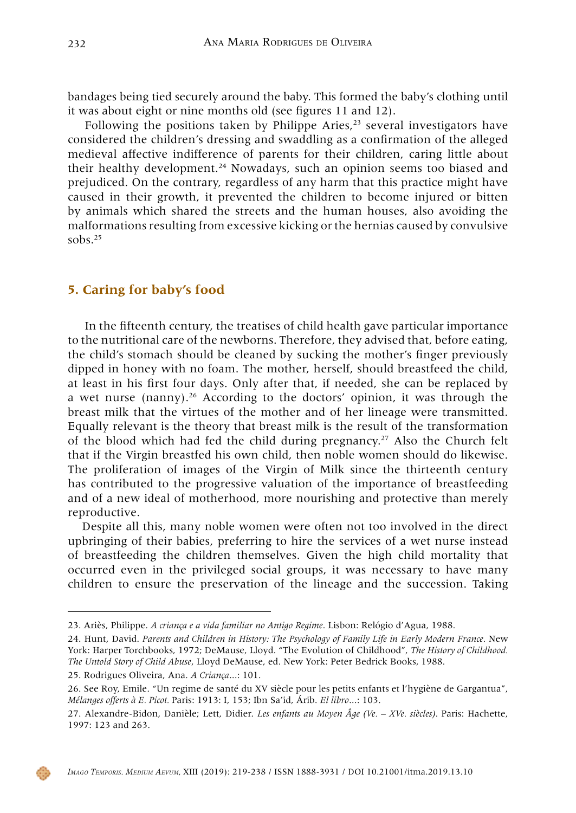bandages being tied securely around the baby. This formed the baby's clothing until it was about eight or nine months old (see figures 11 and 12).

Following the positions taken by Philippe Aries, $^{23}$  several investigators have considered the children's dressing and swaddling as a confirmation of the alleged medieval affective indifference of parents for their children, caring little about their healthy development.<sup>24</sup> Nowadays, such an opinion seems too biased and prejudiced. On the contrary, regardless of any harm that this practice might have caused in their growth, it prevented the children to become injured or bitten by animals which shared the streets and the human houses, also avoiding the malformations resulting from excessive kicking or the hernias caused by convulsive sobs. $25$ 

## **5. Caring for baby's food**

In the fifteenth century, the treatises of child health gave particular importance to the nutritional care of the newborns. Therefore, they advised that, before eating, the child's stomach should be cleaned by sucking the mother's finger previously dipped in honey with no foam. The mother, herself, should breastfeed the child, at least in his first four days. Only after that, if needed, she can be replaced by a wet nurse (nanny).<sup>26</sup> According to the doctors' opinion, it was through the breast milk that the virtues of the mother and of her lineage were transmitted. Equally relevant is the theory that breast milk is the result of the transformation of the blood which had fed the child during pregnancy.<sup>27</sup> Also the Church felt that if the Virgin breastfed his own child, then noble women should do likewise. The proliferation of images of the Virgin of Milk since the thirteenth century has contributed to the progressive valuation of the importance of breastfeeding and of a new ideal of motherhood, more nourishing and protective than merely reproductive.

Despite all this, many noble women were often not too involved in the direct upbringing of their babies, preferring to hire the services of a wet nurse instead of breastfeeding the children themselves. Given the high child mortality that occurred even in the privileged social groups, it was necessary to have many children to ensure the preservation of the lineage and the succession. Taking

<sup>23.</sup> Ariès, Philippe. *A criança e a vida familiar no Antigo Regime*. Lisbon: Relógio d'Agua, 1988.

<sup>24.</sup> Hunt, David. *Parents and Children in History: The Psychology of Family Life in Early Modern France.* New York: Harper Torchbooks, 1972; DeMause, Lloyd. "The Evolution of Childhood", *The History of Childhood. The Untold Story of Child Abuse*, Lloyd DeMause, ed. New York: Peter Bedrick Books, 1988.

<sup>25.</sup> Rodrigues Oliveira, Ana. *A Criança*...: 101.

<sup>26.</sup> See Roy, Emile. "Un regime de santé du XV siècle pour les petits enfants et l'hygiène de Gargantua", *Mélanges offerts à E. Picot.* Paris: 1913: I, 153; Ibn Sa'id, Árib. *El libro*...: 103.

<sup>27.</sup> Alexandre-Bidon, Danièle; Lett, Didier. *Les enfants au Moyen Âge (Ve. – XVe. siècles)*. Paris: Hachette, 1997: 123 and 263.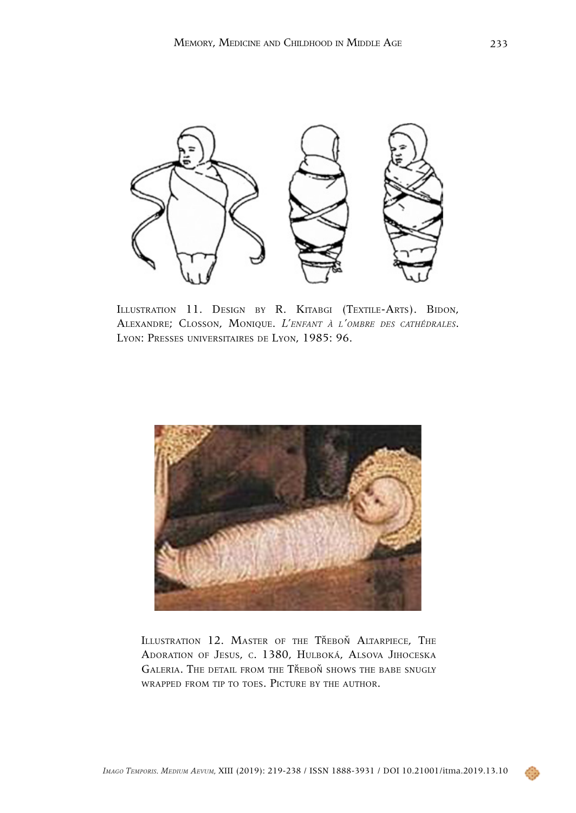

ILLUSTRATION 11. DESIGN BY R. KITABGI (TEXTILE-ARTS). BIDON, Alexandre; Closson, Monique. *L'enfant <sup>à</sup> l'ombre des cathédrales*. Lyon: Presses universitaires de Lyon, 1985: 96.



Illustration 12. Master of the Třeboň Altarpiece, The Adoration of Jesus, c. 1380, Hulboká, Alsova Jihoceska GALERIA. THE DETAIL FROM THE TŘEBOŇ SHOWS THE BABE SNUGLY wrapped from tip to toes. Picture by the author.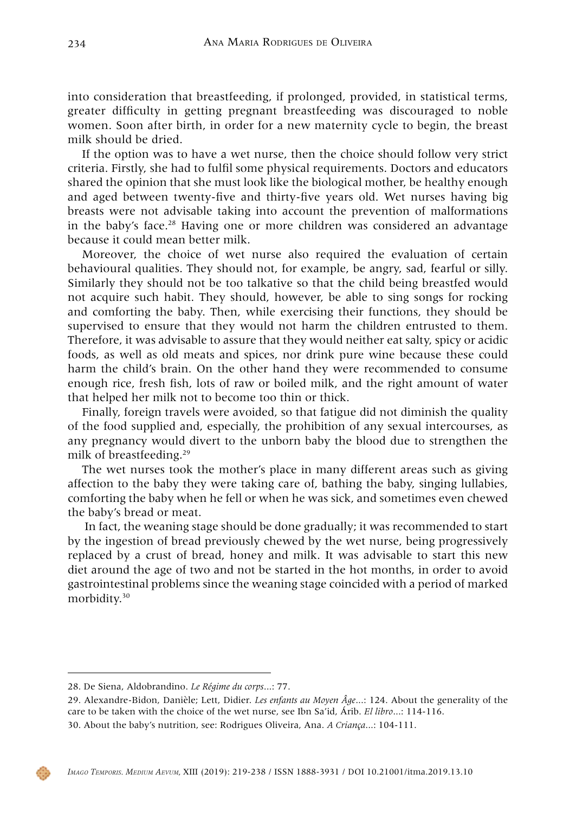into consideration that breastfeeding, if prolonged, provided, in statistical terms, greater difficulty in getting pregnant breastfeeding was discouraged to noble women. Soon after birth, in order for a new maternity cycle to begin, the breast milk should be dried.

If the option was to have a wet nurse, then the choice should follow very strict criteria. Firstly, she had to fulfil some physical requirements. Doctors and educators shared the opinion that she must look like the biological mother, be healthy enough and aged between twenty-five and thirty-five years old. Wet nurses having big breasts were not advisable taking into account the prevention of malformations in the baby's face.28 Having one or more children was considered an advantage because it could mean better milk.

Moreover, the choice of wet nurse also required the evaluation of certain behavioural qualities. They should not, for example, be angry, sad, fearful or silly. Similarly they should not be too talkative so that the child being breastfed would not acquire such habit. They should, however, be able to sing songs for rocking and comforting the baby. Then, while exercising their functions, they should be supervised to ensure that they would not harm the children entrusted to them. Therefore, it was advisable to assure that they would neither eat salty, spicy or acidic foods, as well as old meats and spices, nor drink pure wine because these could harm the child's brain. On the other hand they were recommended to consume enough rice, fresh fish, lots of raw or boiled milk, and the right amount of water that helped her milk not to become too thin or thick.

Finally, foreign travels were avoided, so that fatigue did not diminish the quality of the food supplied and, especially, the prohibition of any sexual intercourses, as any pregnancy would divert to the unborn baby the blood due to strengthen the milk of breastfeeding.29

The wet nurses took the mother's place in many different areas such as giving affection to the baby they were taking care of, bathing the baby, singing lullabies, comforting the baby when he fell or when he was sick, and sometimes even chewed the baby's bread or meat.

In fact, the weaning stage should be done gradually; it was recommended to start by the ingestion of bread previously chewed by the wet nurse, being progressively replaced by a crust of bread, honey and milk. It was advisable to start this new diet around the age of two and not be started in the hot months, in order to avoid gastrointestinal problems since the weaning stage coincided with a period of marked morbidity.<sup>30</sup>

<sup>28.</sup> De Siena, Aldobrandino. *Le Régime du corps*...: 77.

<sup>29.</sup> Alexandre-Bidon, Danièle; Lett, Didier. *Les enfants au Moyen Âge*...: 124. About the generality of the care to be taken with the choice of the wet nurse, see Ibn Sa'id, Árib. *El libro*...: 114-116.

<sup>30.</sup> About the baby's nutrition, see: Rodrigues Oliveira, Ana. *A Criança*...: 104-111.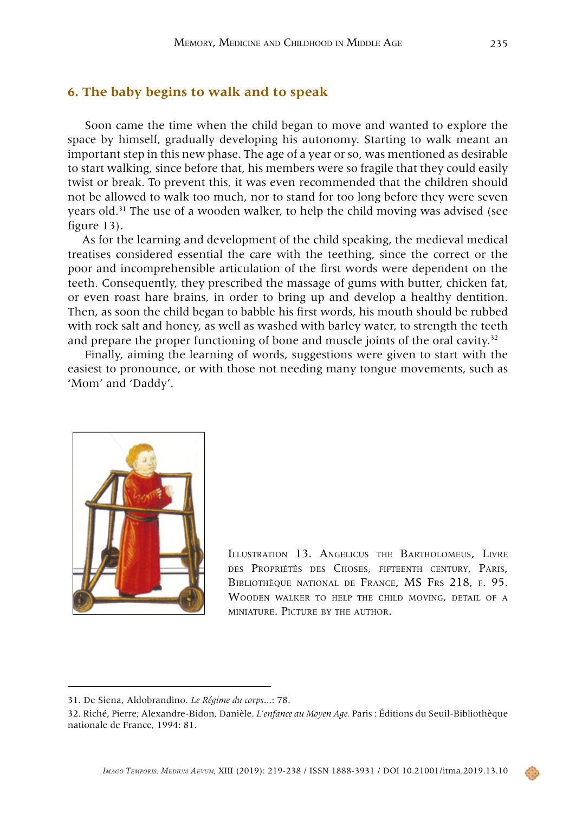#### **6. The baby begins to walk and to speak**

Soon came the time when the child began to move and wanted to explore the space by himself, gradually developing his autonomy. Starting to walk meant an important step in this new phase. The age of a year or so, was mentioned as desirable to start walking, since before that, his members were so fragile that they could easily twist or break. To prevent this, it was even recommended that the children should not be allowed to walk too much, nor to stand for too long before they were seven years old. $31$  The use of a wooden walker, to help the child moving was advised (see figure 13).

As for the learning and development of the child speaking, the medieval medical treatises considered essential the care with the teething, since the correct or the poor and incomprehensible articulation of the first words were dependent on the teeth. Consequently, they prescribed the massage of gums with butter, chicken fat, or even roast hare brains, in order to bring up and develop a healthy dentition. Then, as soon the child began to babble his first words, his mouth should be rubbed with rock salt and honey, as well as washed with barley water, to strength the teeth and prepare the proper functioning of bone and muscle joints of the oral cavity.<sup>32</sup>

Finally, aiming the learning of words, suggestions were given to start with the easiest to pronounce, or with those not needing many tongue movements, such as 'Mom' and 'Daddy'.



Illustration 13. Angelicus the Bartholomeus, Livre des Propriétés des Choses, fifteenth century, Paris, Bibliothèque national de France, MS Frs 218, f. 95. Wooden walker to help the child moving, detail of <sup>a</sup> miniature. Picture by the author.

<sup>31.</sup> De Siena, Aldobrandino. *Le Régime du corps*...: 78.

<sup>32.</sup> Riché, Pierre; Alexandre-Bidon, Danièle. *L'enfance au Moyen Age.* Paris : Éditions du Seuil-Bibliothèque nationale de France, 1994: 81.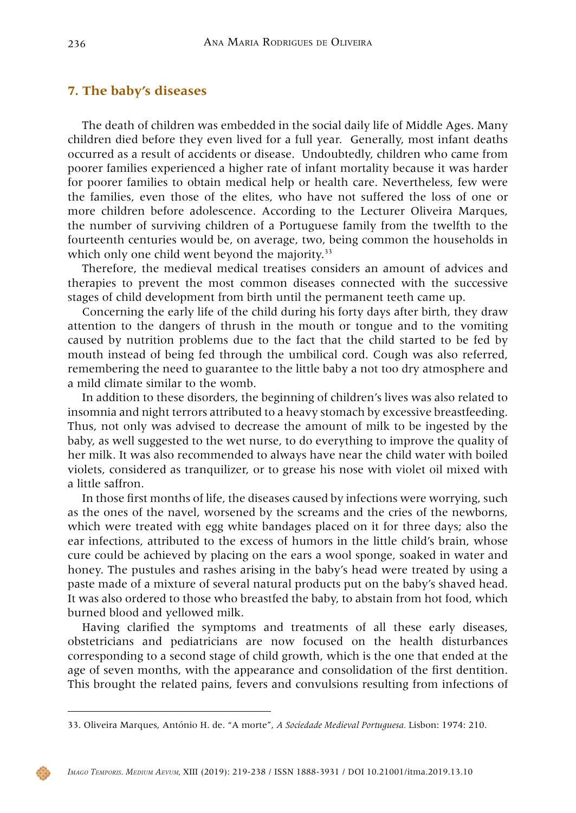## **7. The baby's diseases**

The death of children was embedded in the social daily life of Middle Ages. Many children died before they even lived for a full year. Generally, most infant deaths occurred as a result of accidents or disease. Undoubtedly, children who came from poorer families experienced a higher rate of infant mortality because it was harder for poorer families to obtain medical help or health care. Nevertheless, few were the families, even those of the elites, who have not suffered the loss of one or more children before adolescence. According to the Lecturer Oliveira Marques, the number of surviving children of a Portuguese family from the twelfth to the fourteenth centuries would be, on average, two, being common the households in which only one child went beyond the majority.<sup>33</sup>

Therefore, the medieval medical treatises considers an amount of advices and therapies to prevent the most common diseases connected with the successive stages of child development from birth until the permanent teeth came up.

Concerning the early life of the child during his forty days after birth, they draw attention to the dangers of thrush in the mouth or tongue and to the vomiting caused by nutrition problems due to the fact that the child started to be fed by mouth instead of being fed through the umbilical cord. Cough was also referred, remembering the need to guarantee to the little baby a not too dry atmosphere and a mild climate similar to the womb.

In addition to these disorders, the beginning of children's lives was also related to insomnia and night terrors attributed to a heavy stomach by excessive breastfeeding. Thus, not only was advised to decrease the amount of milk to be ingested by the baby, as well suggested to the wet nurse, to do everything to improve the quality of her milk. It was also recommended to always have near the child water with boiled violets, considered as tranquilizer, or to grease his nose with violet oil mixed with a little saffron.

In those first months of life, the diseases caused by infections were worrying, such as the ones of the navel, worsened by the screams and the cries of the newborns, which were treated with egg white bandages placed on it for three days; also the ear infections, attributed to the excess of humors in the little child's brain, whose cure could be achieved by placing on the ears a wool sponge, soaked in water and honey. The pustules and rashes arising in the baby's head were treated by using a paste made of a mixture of several natural products put on the baby's shaved head. It was also ordered to those who breastfed the baby, to abstain from hot food, which burned blood and yellowed milk.

Having clarified the symptoms and treatments of all these early diseases, obstetricians and pediatricians are now focused on the health disturbances corresponding to a second stage of child growth, which is the one that ended at the age of seven months, with the appearance and consolidation of the first dentition. This brought the related pains, fevers and convulsions resulting from infections of



<sup>33.</sup> Oliveira Marques, António H. de. "A morte", *A Sociedade Medieval Portuguesa.* Lisbon: 1974: 210.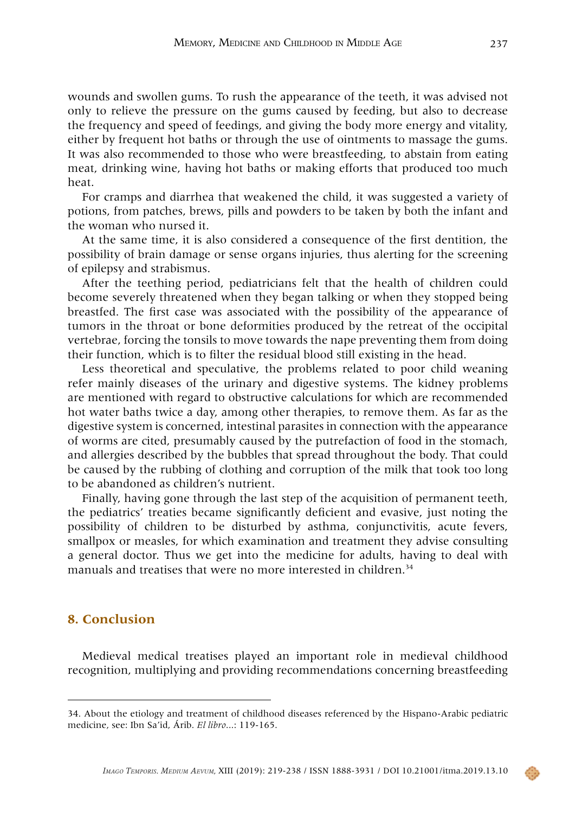wounds and swollen gums. To rush the appearance of the teeth, it was advised not only to relieve the pressure on the gums caused by feeding, but also to decrease the frequency and speed of feedings, and giving the body more energy and vitality, either by frequent hot baths or through the use of ointments to massage the gums. It was also recommended to those who were breastfeeding, to abstain from eating meat, drinking wine, having hot baths or making efforts that produced too much heat.

For cramps and diarrhea that weakened the child, it was suggested a variety of potions, from patches, brews, pills and powders to be taken by both the infant and the woman who nursed it.

At the same time, it is also considered a consequence of the first dentition, the possibility of brain damage or sense organs injuries, thus alerting for the screening of epilepsy and strabismus.

After the teething period, pediatricians felt that the health of children could become severely threatened when they began talking or when they stopped being breastfed. The first case was associated with the possibility of the appearance of tumors in the throat or bone deformities produced by the retreat of the occipital vertebrae, forcing the tonsils to move towards the nape preventing them from doing their function, which is to filter the residual blood still existing in the head.

Less theoretical and speculative, the problems related to poor child weaning refer mainly diseases of the urinary and digestive systems. The kidney problems are mentioned with regard to obstructive calculations for which are recommended hot water baths twice a day, among other therapies, to remove them. As far as the digestive system is concerned, intestinal parasites in connection with the appearance of worms are cited, presumably caused by the putrefaction of food in the stomach, and allergies described by the bubbles that spread throughout the body. That could be caused by the rubbing of clothing and corruption of the milk that took too long to be abandoned as children's nutrient.

Finally, having gone through the last step of the acquisition of permanent teeth, the pediatrics' treaties became significantly deficient and evasive, just noting the possibility of children to be disturbed by asthma, conjunctivitis, acute fevers, smallpox or measles, for which examination and treatment they advise consulting a general doctor. Thus we get into the medicine for adults, having to deal with manuals and treatises that were no more interested in children.<sup>34</sup>

# **8. Conclusion**

Medieval medical treatises played an important role in medieval childhood recognition, multiplying and providing recommendations concerning breastfeeding

<sup>34.</sup> About the etiology and treatment of childhood diseases referenced by the Hispano-Arabic pediatric medicine, see: Ibn Sa'id, Árib. *El libro*...: 119-165.